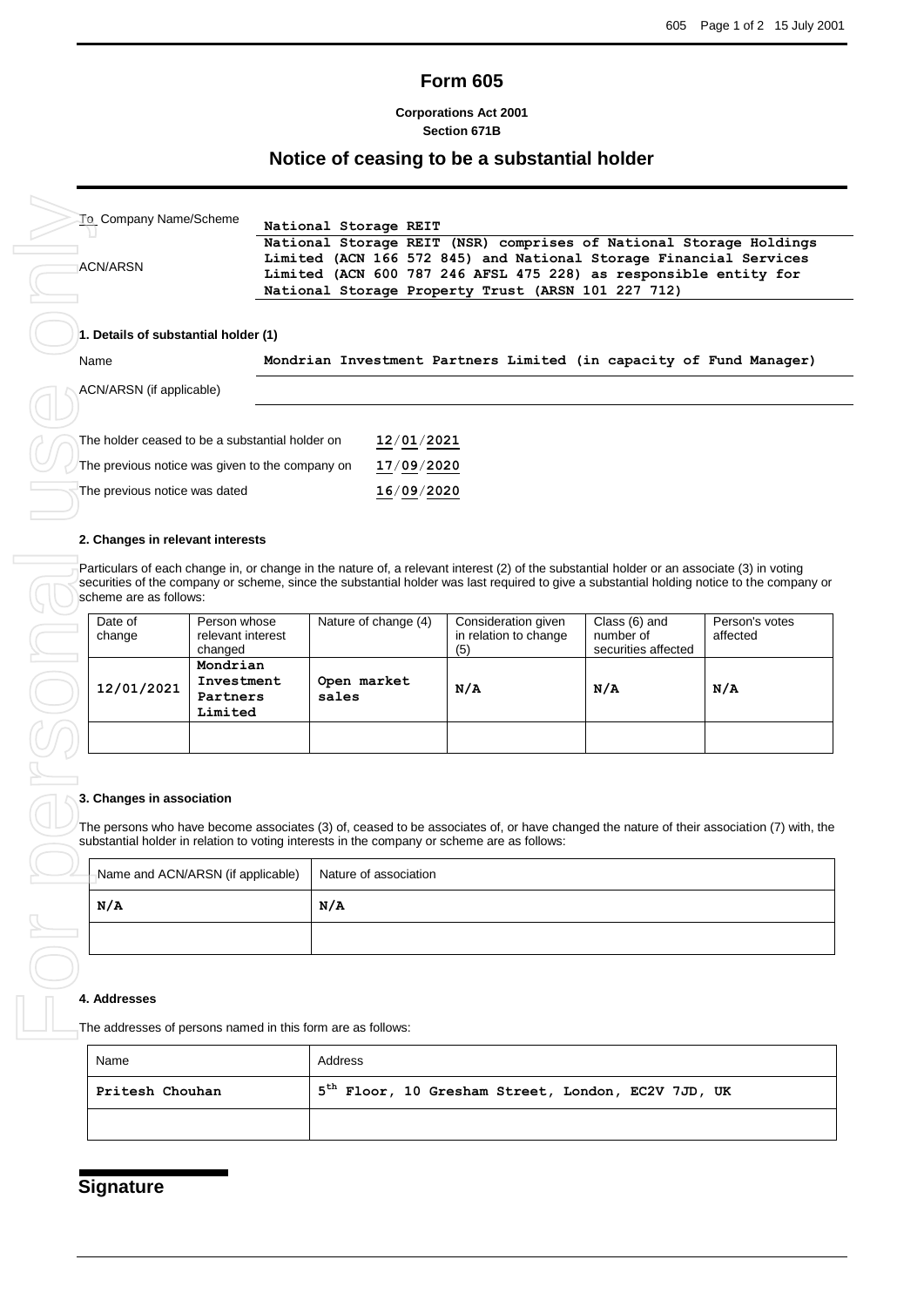# **Form 605**

**Corporations Act 2001 Section 671B**

## **Notice of ceasing to be a substantial holder**

| To Company Name/Scheme               | National Storage REIT                                              |
|--------------------------------------|--------------------------------------------------------------------|
|                                      | National Storage REIT (NSR) comprises of National Storage Holdings |
| ACN/ARSN                             | Limited (ACN 166 572 845) and National Storage Financial Services  |
|                                      | Limited (ACN 600 787 246 AFSL 475 228) as responsible entity for   |
|                                      | National Storage Property Trust (ARSN 101 227 712)                 |
|                                      |                                                                    |
| 1. Details of substantial holder (1) |                                                                    |

| Name                                            | Mondrian Investment Partners Limited (in capacity of Fund Manager) |            |  |  |  |  |
|-------------------------------------------------|--------------------------------------------------------------------|------------|--|--|--|--|
| ACN/ARSN (if applicable)                        |                                                                    |            |  |  |  |  |
|                                                 |                                                                    |            |  |  |  |  |
| The holder ceased to be a substantial holder on |                                                                    | 12/01/2021 |  |  |  |  |
| The previous notice was given to the company on |                                                                    | 17/09/2020 |  |  |  |  |
| The previous notice was dated                   |                                                                    | 16/09/2020 |  |  |  |  |

#### **2. Changes in relevant interests**

Particulars of each change in, or change in the nature of, a relevant interest (2) of the substantial holder or an associate (3) in voting securities of the company or scheme, since the substantial holder was last required to give a substantial holding notice to the company or scheme are as follows:

| Date of<br>change | Person whose<br>relevant interest<br>changed  | Nature of change (4) | Consideration given<br>in relation to change<br>(5) | Class (6) and<br>number of<br>securities affected | Person's votes<br>affected |
|-------------------|-----------------------------------------------|----------------------|-----------------------------------------------------|---------------------------------------------------|----------------------------|
| 12/01/2021        | Mondrian<br>Investment<br>Partners<br>Limited | Open market<br>sales | N/A                                                 | N/A                                               | N/A                        |
|                   |                                               |                      |                                                     |                                                   |                            |

## **3. Changes in association**

The persons who have become associates (3) of, ceased to be associates of, or have changed the nature of their association (7) with, the substantial holder in relation to voting interests in the company or scheme are as follows:

| Name and ACN/ARSN (if applicable) | Nature of association |
|-----------------------------------|-----------------------|
| N/A                               | N/A                   |
|                                   |                       |

## **4. Addresses**

The addresses of persons named in this form are as follows:

| Name            | Address                                                        |
|-----------------|----------------------------------------------------------------|
| Pritesh Chouhan | 5 <sup>th</sup> Floor, 10 Gresham Street, London, EC2V 7JD, UK |
|                 |                                                                |